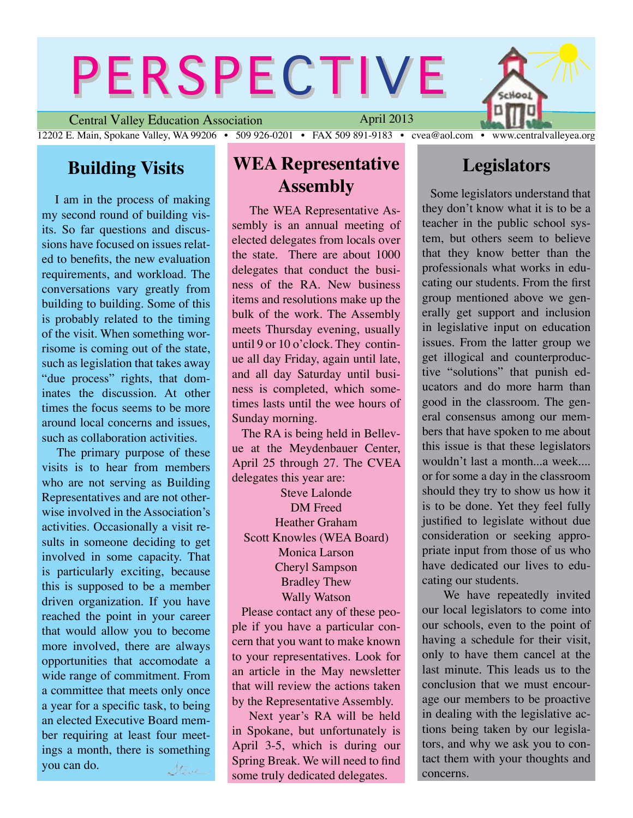# PERSPECTIVE

Central Valley Education Association 12202 E. Main, Spokane Valley, WA 99206 • 509 926-0201 • FAX 509 891-9183 • cvea@aol.com • www.centralvalleyea.org April 2013

## **Building Visits**

I am in the process of making my second round of building visits. So far questions and discussions have focused on issues related to benefits, the new evaluation requirements, and workload. The conversations vary greatly from building to building. Some of this is probably related to the timing of the visit. When something worrisome is coming out of the state, such as legislation that takes away "due process" rights, that dominates the discussion. At other times the focus seems to be more around local concerns and issues, such as collaboration activities.

 The primary purpose of these visits is to hear from members who are not serving as Building Representatives and are not otherwise involved in the Association's activities. Occasionally a visit results in someone deciding to get involved in some capacity. That is particularly exciting, because this is supposed to be a member driven organization. If you have reached the point in your career that would allow you to become more involved, there are always opportunities that accomodate a wide range of commitment. From a committee that meets only once a year for a specific task, to being an elected Executive Board member requiring at least four meetings a month, there is something you can do. Steve

### **WEA Representative Assembly**

 The WEA Representative Assembly is an annual meeting of elected delegates from locals over the state. There are about 1000 delegates that conduct the business of the RA. New business items and resolutions make up the bulk of the work. The Assembly meets Thursday evening, usually until 9 or 10 o'clock. They continue all day Friday, again until late, and all day Saturday until business is completed, which sometimes lasts until the wee hours of Sunday morning.

 The RA is being held in Bellevue at the Meydenbauer Center, April 25 through 27. The CVEA delegates this year are:

Steve Lalonde DM Freed Heather Graham Scott Knowles (WEA Board) Monica Larson Cheryl Sampson Bradley Thew Wally Watson

 Please contact any of these people if you have a particular concern that you want to make known to your representatives. Look for an article in the May newsletter that will review the actions taken by the Representative Assembly.

 Next year's RA will be held in Spokane, but unfortunately is April 3-5, which is during our Spring Break. We will need to find some truly dedicated delegates.

#### **Legislators**

Look

Some legislators understand that they don't know what it is to be a teacher in the public school system, but others seem to believe that they know better than the professionals what works in educating our students. From the first group mentioned above we generally get support and inclusion in legislative input on education issues. From the latter group we get illogical and counterproductive "solutions" that punish educators and do more harm than good in the classroom. The general consensus among our members that have spoken to me about this issue is that these legislators wouldn't last a month...a week.... or for some a day in the classroom should they try to show us how it is to be done. Yet they feel fully justified to legislate without due consideration or seeking appropriate input from those of us who have dedicated our lives to educating our students.

 We have repeatedly invited our local legislators to come into our schools, even to the point of having a schedule for their visit, only to have them cancel at the last minute. This leads us to the conclusion that we must encourage our members to be proactive in dealing with the legislative actions being taken by our legislators, and why we ask you to contact them with your thoughts and concerns.

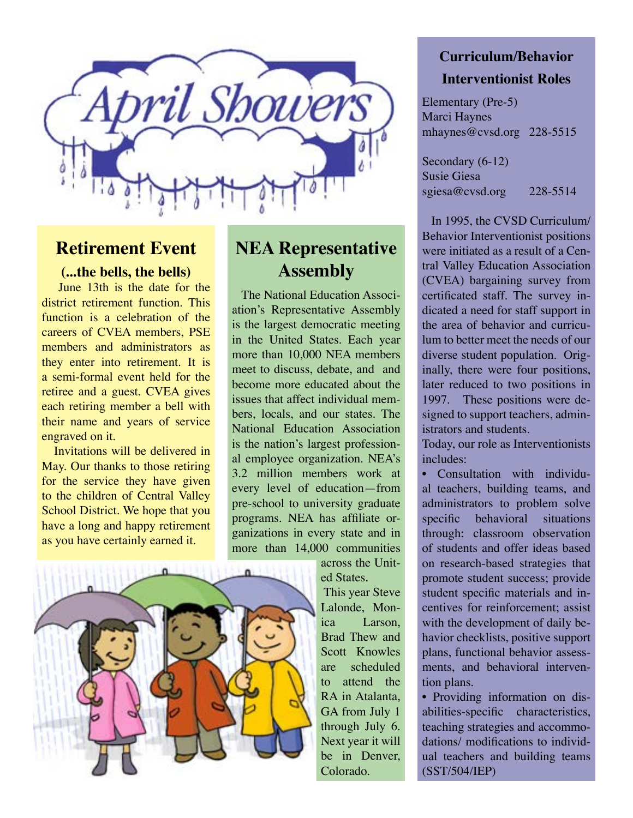

#### **Retirement Event**

#### **(...the bells, the bells)**

 June 13th is the date for the district retirement function. This function is a celebration of the careers of CVEA members, PSE members and administrators as they enter into retirement. It is a semi-formal event held for the retiree and a guest. CVEA gives each retiring member a bell with their name and years of service engraved on it.

 Invitations will be delivered in May. Our thanks to those retiring for the service they have given to the children of Central Valley School District. We hope that you have a long and happy retirement as you have certainly earned it.



# **NEA Representative Assembly**

 The National Education Association's Representative Assembly is the largest democratic meeting in the United States. Each year more than 10,000 NEA members meet to discuss, debate, and and become more educated about the issues that affect individual members, locals, and our states. The National Education Association is the nation's largest professional employee organization. NEA's 3.2 million members work at every level of education—from pre-school to university graduate programs. NEA has affiliate organizations in every state and in more than 14,000 communities

> across the United States. This year Steve Lalonde, Monica Larson, Brad Thew and Scott Knowles are scheduled to attend the RA in Atalanta, GA from July 1 through July 6. Next year it will

### **Curriculum/Behavior Interventionist Roles**

Elementary (Pre-5) Marci Haynes mhaynes@cvsd.org 228-5515

Secondary (6-12) Susie Giesa sgiesa@cvsd.org 228-5514

 In 1995, the CVSD Curriculum/ Behavior Interventionist positions were initiated as a result of a Central Valley Education Association (CVEA) bargaining survey from certificated staff. The survey indicated a need for staff support in the area of behavior and curriculum to better meet the needs of our diverse student population. Originally, there were four positions, later reduced to two positions in 1997. These positions were designed to support teachers, administrators and students.

Today, our role as Interventionists includes:

• Consultation with individual teachers, building teams, and administrators to problem solve specific behavioral situations through: classroom observation of students and offer ideas based on research-based strategies that promote student success; provide student specific materials and incentives for reinforcement; assist with the development of daily behavior checklists, positive support plans, functional behavior assessments, and behavioral intervention plans.

• Providing information on disabilities-specific characteristics, teaching strategies and accommodations/ modifications to individual teachers and building teams (SST/504/IEP)